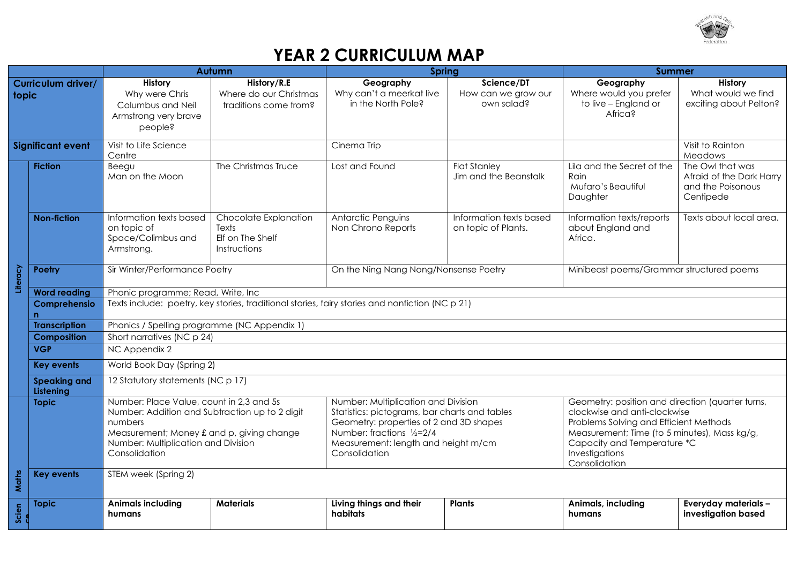

## **YEAR 2 CURRICULUM MAP**

|                             |                                  | Autumn                                                                                          |                                                                                                                                                                                                                                                                                                                                                                                                        | Spring                                                      |                                                                                                                                                                                                                                              | <b>Summer</b>                                                               |                                                                                |
|-----------------------------|----------------------------------|-------------------------------------------------------------------------------------------------|--------------------------------------------------------------------------------------------------------------------------------------------------------------------------------------------------------------------------------------------------------------------------------------------------------------------------------------------------------------------------------------------------------|-------------------------------------------------------------|----------------------------------------------------------------------------------------------------------------------------------------------------------------------------------------------------------------------------------------------|-----------------------------------------------------------------------------|--------------------------------------------------------------------------------|
| Curriculum driver/<br>topic |                                  | History<br>Why were Chris<br>Columbus and Neil<br>Armstrong very brave<br>people?               | History/R.E<br>Where do our Christmas<br>traditions come from?                                                                                                                                                                                                                                                                                                                                         | Geography<br>Why can't a meerkat live<br>in the North Pole? | Science/DT<br>How can we grow our<br>own salad?                                                                                                                                                                                              | Geography<br>Where would you prefer<br>to live - England or<br>Africa?      | History<br>What would we find<br>exciting about Pelton?                        |
| <b>Significant event</b>    |                                  | Visit to Life Science<br>Centre                                                                 |                                                                                                                                                                                                                                                                                                                                                                                                        | Cinema Trip                                                 |                                                                                                                                                                                                                                              |                                                                             | Visit to Rainton<br>Meadows                                                    |
|                             | <b>Fiction</b>                   | Beegu<br>Man on the Moon                                                                        | The Christmas Truce                                                                                                                                                                                                                                                                                                                                                                                    | Lost and Found                                              | <b>Flat Stanley</b><br>Jim and the Beanstalk                                                                                                                                                                                                 | Lila and the Secret of the<br><b>Rain</b><br>Mufaro's Beautiful<br>Daughter | The Owl that was<br>Afraid of the Dark Harry<br>and the Poisonous<br>Centipede |
|                             | <b>Non-fiction</b>               | Information texts based<br>on topic of<br>Space/Colimbus and<br>Armstrong.                      | Chocolate Explanation<br>Texts<br>Elf on The Shelf<br>Instructions                                                                                                                                                                                                                                                                                                                                     | Antarctic Penguins<br>Non Chrono Reports                    | Information texts based<br>on topic of Plants.                                                                                                                                                                                               | Information texts/reports<br>about England and<br>Africa.                   | Texts about local area.                                                        |
| Literacy                    | Poetry                           | Sir Winter/Performance Poetry                                                                   |                                                                                                                                                                                                                                                                                                                                                                                                        | On the Ning Nang Nong/Nonsense Poetry                       |                                                                                                                                                                                                                                              | Minibeast poems/Grammar structured poems                                    |                                                                                |
|                             | <b>Word reading</b>              | Phonic programme; Read, Write, Inc.                                                             |                                                                                                                                                                                                                                                                                                                                                                                                        |                                                             |                                                                                                                                                                                                                                              |                                                                             |                                                                                |
|                             | Comprehensio<br>n                | Texts include: poetry, key stories, traditional stories, fairy stories and nonfiction (NC p 21) |                                                                                                                                                                                                                                                                                                                                                                                                        |                                                             |                                                                                                                                                                                                                                              |                                                                             |                                                                                |
|                             | <b>Transcription</b>             | Phonics / Spelling programme (NC Appendix 1)                                                    |                                                                                                                                                                                                                                                                                                                                                                                                        |                                                             |                                                                                                                                                                                                                                              |                                                                             |                                                                                |
|                             | <b>Composition</b>               | Short narratives (NC p 24)                                                                      |                                                                                                                                                                                                                                                                                                                                                                                                        |                                                             |                                                                                                                                                                                                                                              |                                                                             |                                                                                |
|                             | <b>VGP</b>                       | NC Appendix 2                                                                                   |                                                                                                                                                                                                                                                                                                                                                                                                        |                                                             |                                                                                                                                                                                                                                              |                                                                             |                                                                                |
|                             | <b>Key events</b>                | World Book Day (Spring 2)                                                                       |                                                                                                                                                                                                                                                                                                                                                                                                        |                                                             |                                                                                                                                                                                                                                              |                                                                             |                                                                                |
|                             | <b>Speaking and</b><br>Listening | 12 Statutory statements (NC p 17)                                                               |                                                                                                                                                                                                                                                                                                                                                                                                        |                                                             |                                                                                                                                                                                                                                              |                                                                             |                                                                                |
|                             | <b>Topic</b>                     | numbers<br>Consolidation                                                                        | Number: Place Value, count in 2,3 and 5s<br>Number: Multiplication and Division<br>Number: Addition and Subtraction up to 2 digit<br>Statistics: pictograms, bar charts and tables<br>Geometry: properties of 2 and 3D shapes<br>Number: fractions 1/2=2/4<br>Measurement; Money £ and p, giving change<br>Number: Multiplication and Division<br>Measurement: length and height m/cm<br>Consolidation |                                                             | Geometry: position and direction (quarter turns,<br>clockwise and anti-clockwise<br>Problems Solving and Efficient Methods<br>Measurement; Time (to 5 minutes), Mass kg/g,<br>Capacity and Temperature *C<br>Investigations<br>Consolidation |                                                                             |                                                                                |
| Maths                       | <b>Key events</b>                | STEM week (Spring 2)                                                                            |                                                                                                                                                                                                                                                                                                                                                                                                        |                                                             |                                                                                                                                                                                                                                              |                                                                             |                                                                                |
| Scien                       | <b>Topic</b>                     | <b>Animals including</b><br>humans                                                              | <b>Materials</b>                                                                                                                                                                                                                                                                                                                                                                                       | Living things and their<br>habitats                         | <b>Plants</b>                                                                                                                                                                                                                                | Animals, including<br>humans                                                | Everyday materials -<br>investigation based                                    |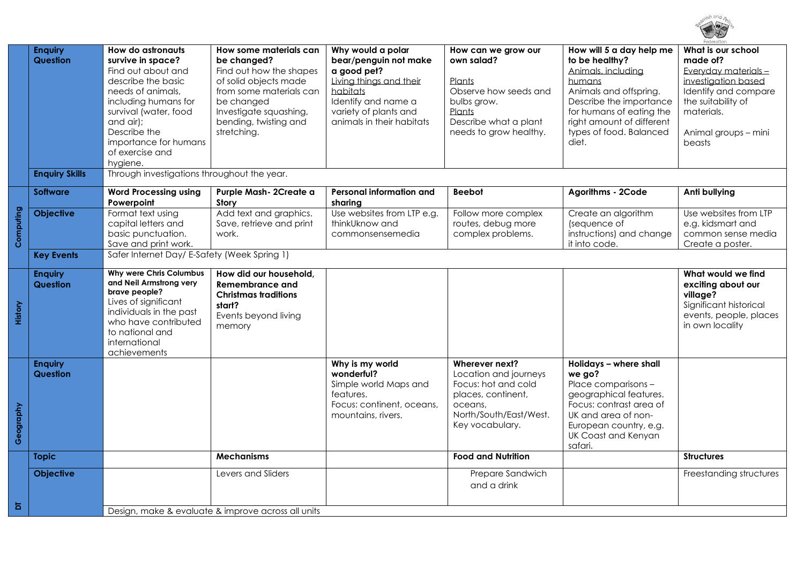

|           | <b>Enquiry</b><br>Question        | <b>How do astronauts</b><br>survive in space?<br>Find out about and                                                                                                                                | How some materials can<br>be changed?<br>Find out how the shapes                                                            | Why would a polar<br>bear/penguin not make<br>a good pet?                                                              | How can we grow our<br>own salad?                                                                                                            | How will 5 a day help me<br>to be healthy?<br>Animals, including                                                                                                                                | What is our school<br>made of?<br>Everyday materials-                                                                       |
|-----------|-----------------------------------|----------------------------------------------------------------------------------------------------------------------------------------------------------------------------------------------------|-----------------------------------------------------------------------------------------------------------------------------|------------------------------------------------------------------------------------------------------------------------|----------------------------------------------------------------------------------------------------------------------------------------------|-------------------------------------------------------------------------------------------------------------------------------------------------------------------------------------------------|-----------------------------------------------------------------------------------------------------------------------------|
|           |                                   | describe the basic<br>needs of animals.<br>including humans for<br>survival (water, food<br>and air);                                                                                              | of solid objects made<br>from some materials can<br>be changed<br>Investigate squashing,<br>bending, twisting and           | Living things and their<br>habitats<br>Identify and name a<br>variety of plants and<br>animals in their habitats       | Plants<br>Observe how seeds and<br>bulbs grow.<br>Plants<br>Describe what a plant                                                            | humans<br>Animals and offspring.<br>Describe the importance<br>for humans of eating the<br>right amount of different                                                                            | investigation based<br>Identify and compare<br>the suitability of<br>materials.                                             |
|           |                                   | Describe the<br>importance for humans<br>of exercise and<br>hygiene.                                                                                                                               | stretching.                                                                                                                 |                                                                                                                        | needs to grow healthy.                                                                                                                       | types of food. Balanced<br>diet.                                                                                                                                                                | Animal groups - mini<br>beasts                                                                                              |
|           | <b>Enquiry Skills</b>             | Through investigations throughout the year.                                                                                                                                                        |                                                                                                                             |                                                                                                                        |                                                                                                                                              |                                                                                                                                                                                                 |                                                                                                                             |
|           | Software                          | <b>Word Processing using</b><br>Powerpoint                                                                                                                                                         | Purple Mash-2Create a<br>Story                                                                                              | Personal information and<br>sharing                                                                                    | <b>Beebot</b>                                                                                                                                | Agorithms - 2Code                                                                                                                                                                               | Anti bullying                                                                                                               |
| Computing | Objective                         | Format text using<br>capital letters and<br>basic punctuation.<br>Save and print work.                                                                                                             | Add text and graphics.<br>Save, retrieve and print<br>work.                                                                 | Use websites from LTP e.g.<br>thinkUknow and<br>commonsensemedia                                                       | Follow more complex<br>routes, debug more<br>complex problems.                                                                               | Create an algorithm<br>(sequence of<br>instructions) and change<br>it into code.                                                                                                                | Use websites from LTP<br>e.g. kidsmart and<br>common sense media<br>Create a poster.                                        |
|           | <b>Key Events</b>                 | Safer Internet Day/ E-Safety (Week Spring 1)                                                                                                                                                       |                                                                                                                             |                                                                                                                        |                                                                                                                                              |                                                                                                                                                                                                 |                                                                                                                             |
| History   | <b>Enquiry</b><br><b>Question</b> | Why were Chris Columbus<br>and Neil Armstrong very<br>brave people?<br>Lives of significant<br>individuals in the past<br>who have contributed<br>to national and<br>international<br>achievements | How did our household,<br><b>Remembrance and</b><br><b>Christmas traditions</b><br>start?<br>Events beyond living<br>memory |                                                                                                                        |                                                                                                                                              |                                                                                                                                                                                                 | What would we find<br>exciting about our<br>village?<br>Significant historical<br>events, people, places<br>in own locality |
| Geography | <b>Enquiry</b><br>Question        |                                                                                                                                                                                                    |                                                                                                                             | Why is my world<br>wonderful?<br>Simple world Maps and<br>features.<br>Focus: continent, oceans,<br>mountains, rivers. | Wherever next?<br>Location and journeys<br>Focus: hot and cold<br>places, continent,<br>oceans,<br>North/South/East/West.<br>Key vocabulary. | Holidays - where shall<br>we go?<br>Place comparisons -<br>geographical features.<br>Focus: contrast area of<br>UK and area of non-<br>European country, e.g.<br>UK Coast and Kenyan<br>safari. |                                                                                                                             |
|           | <b>Topic</b>                      |                                                                                                                                                                                                    | <b>Mechanisms</b>                                                                                                           |                                                                                                                        | <b>Food and Nutrition</b>                                                                                                                    |                                                                                                                                                                                                 | <b>Structures</b>                                                                                                           |
|           | <b>Objective</b>                  |                                                                                                                                                                                                    | Levers and Sliders                                                                                                          |                                                                                                                        | Prepare Sandwich<br>and a drink                                                                                                              |                                                                                                                                                                                                 | Freestanding structures                                                                                                     |
| Б         |                                   |                                                                                                                                                                                                    | Design, make & evaluate & improve across all units                                                                          |                                                                                                                        |                                                                                                                                              |                                                                                                                                                                                                 |                                                                                                                             |
|           |                                   |                                                                                                                                                                                                    |                                                                                                                             |                                                                                                                        |                                                                                                                                              |                                                                                                                                                                                                 |                                                                                                                             |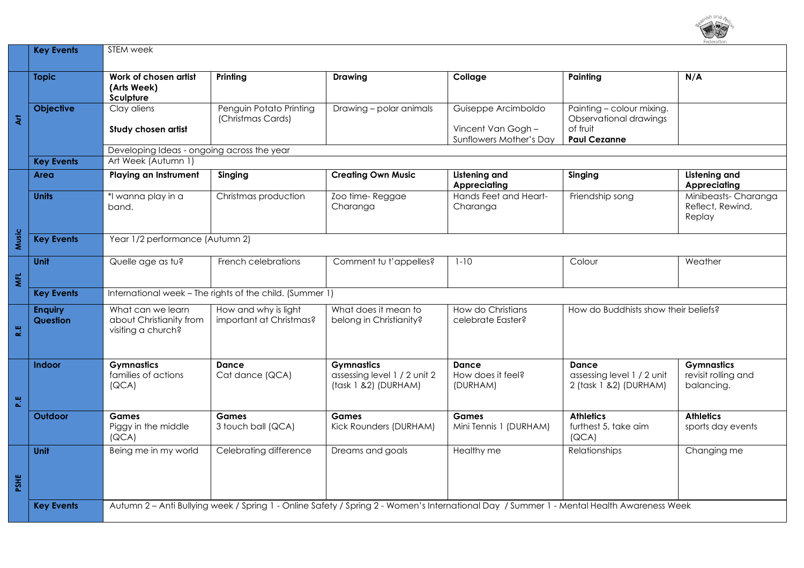

|            | <b>Key Events</b>                 | STEM week                                                                                                                                 |                                                 |                                                                           |                                                                     |                                                                                        |                                                        |  |
|------------|-----------------------------------|-------------------------------------------------------------------------------------------------------------------------------------------|-------------------------------------------------|---------------------------------------------------------------------------|---------------------------------------------------------------------|----------------------------------------------------------------------------------------|--------------------------------------------------------|--|
|            | <b>Topic</b>                      | Work of chosen artist<br>(Arts Week)<br>Sculpture                                                                                         | Printing                                        | <b>Drawing</b>                                                            | Collage                                                             | Painting                                                                               | N/A                                                    |  |
| 复          | <b>Objective</b>                  | Clay aliens<br>Study chosen artist                                                                                                        | Penguin Potato Printing<br>(Christmas Cards)    | Drawing - polar animals                                                   | Guiseppe Arcimboldo<br>Vincent Van Gogh-<br>Sunflowers Mother's Day | Painting - colour mixing.<br>Observational drawings<br>of fruit<br><b>Paul Cezanne</b> |                                                        |  |
|            | <b>Key Events</b>                 | Developing Ideas - ongoing across the year<br>Art Week (Autumn 1)                                                                         |                                                 |                                                                           |                                                                     |                                                                                        |                                                        |  |
|            | Area                              | <b>Playing an Instrument</b>                                                                                                              | Singing                                         | <b>Creating Own Music</b>                                                 | Listening and<br><b>Appreciating</b>                                | Singing                                                                                | <b>Listening and</b><br><b>Appreciating</b>            |  |
|            | <b>Units</b>                      | *I wanna play in a<br>band.                                                                                                               | Christmas production                            | Zoo time-Reggae<br>Charanga                                               | Hands Feet and Heart-<br>Charanga                                   | Friendship song                                                                        | Minibeasts-Charanga<br>Reflect, Rewind,<br>Replay      |  |
| Music      | <b>Key Events</b>                 | Year 1/2 performance (Autumn 2)                                                                                                           |                                                 |                                                                           |                                                                     |                                                                                        |                                                        |  |
| <b>MFL</b> | <b>Unit</b>                       | Quelle age as tu?                                                                                                                         | French celebrations                             | Comment tu t'appelles?                                                    | $1 - 10$                                                            | Colour                                                                                 | Weather                                                |  |
|            | <b>Key Events</b>                 | International week - The rights of the child. (Summer 1)                                                                                  |                                                 |                                                                           |                                                                     |                                                                                        |                                                        |  |
| 쀥          | <b>Enguiry</b><br><b>Question</b> | What can we learn<br>about Christianity from<br>visiting a church?                                                                        | How and why is light<br>important at Christmas? | What does it mean to<br>belong in Christianity?                           | How do Christians<br>celebrate Easter?                              | How do Buddhists show their beliefs?                                                   |                                                        |  |
| 쁦          | <b>Indoor</b>                     | <b>Gymnastics</b><br>families of actions<br>[QCA]                                                                                         | Dance<br>Cat dance (QCA)                        | <b>Gymnastics</b><br>assessing level 1 / 2 unit 2<br>(task 1 &2) (DURHAM) | Dance<br>How does it feel?<br>(DURHAM)                              | Dance<br>assessing level 1 / 2 unit<br>2 (task 1 & 2) (DURHAM)                         | <b>Gymnastics</b><br>revisit rolling and<br>balancing. |  |
|            | Outdoor                           | <b>Games</b><br>Piggy in the middle<br>[QCA]                                                                                              | <b>Games</b><br>3 touch ball (QCA)              | Games<br>Kick Rounders (DURHAM)                                           | Games<br>Mini Tennis 1 (DURHAM)                                     | <b>Athletics</b><br>furthest 5, take aim<br>[QCA]                                      | <b>Athletics</b><br>sports day events                  |  |
| PSHE       | Unit                              | Being me in my world                                                                                                                      | Celebrating difference                          | Dreams and goals                                                          | Healthy me                                                          | <b>Relationships</b>                                                                   | Changing me                                            |  |
|            | <b>Key Events</b>                 | Autumn 2 - Anti Bullying week / Spring 1 - Online Safety / Spring 2 - Women's International Day / Summer 1 - Mental Health Awareness Week |                                                 |                                                                           |                                                                     |                                                                                        |                                                        |  |